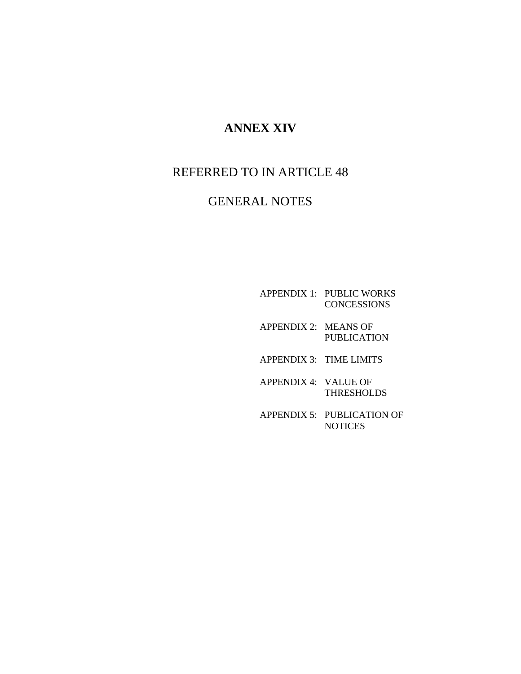# **ANNEX XIV**

# REFERRED TO IN ARTICLE 48

# GENERAL NOTES

- APPENDIX 1: PUBLIC WORKS **CONCESSIONS**
- APPENDIX 2: MEANS OF PUBLICATION
- APPENDIX 3: TIME LIMITS
- APPENDIX 4: VALUE OF THRESHOLDS
- APPENDIX 5: PUBLICATION OF NOTICES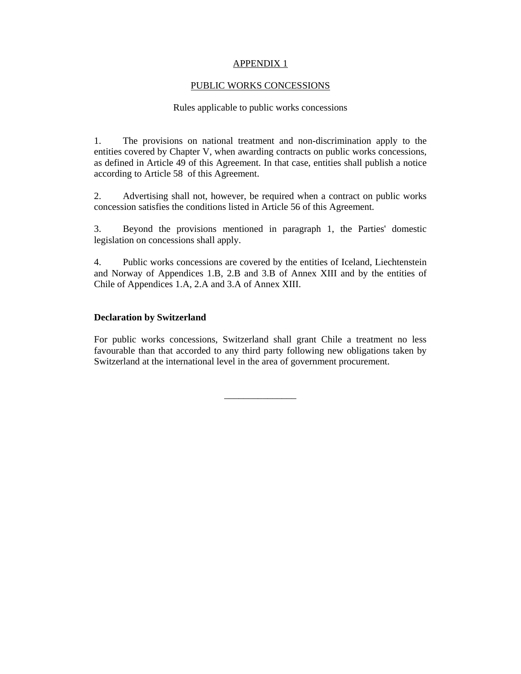#### PUBLIC WORKS CONCESSIONS

#### Rules applicable to public works concessions

1. The provisions on national treatment and non-discrimination apply to the entities covered by Chapter V, when awarding contracts on public works concessions, as defined in Article 49 of this Agreement. In that case, entities shall publish a notice according to Article 58 of this Agreement.

2. Advertising shall not, however, be required when a contract on public works concession satisfies the conditions listed in Article 56 of this Agreement.

3. Beyond the provisions mentioned in paragraph 1, the Parties' domestic legislation on concessions shall apply.

4. Public works concessions are covered by the entities of Iceland, Liechtenstein and Norway of Appendices 1.B, 2.B and 3.B of Annex XIII and by the entities of Chile of Appendices 1.A, 2.A and 3.A of Annex XIII.

#### **Declaration by Switzerland**

For public works concessions, Switzerland shall grant Chile a treatment no less favourable than that accorded to any third party following new obligations taken by Switzerland at the international level in the area of government procurement.

\_\_\_\_\_\_\_\_\_\_\_\_\_\_\_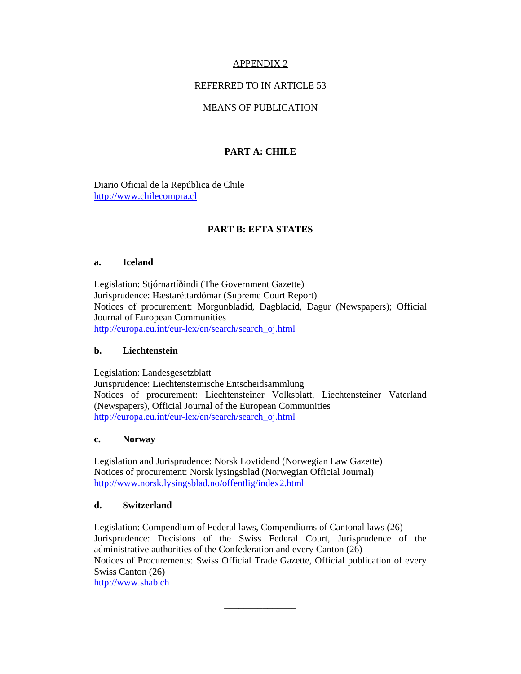## REFERRED TO IN ARTICLE 53

# MEANS OF PUBLICATION

# **PART A: CHILE**

Diario Oficial de la República de Chile http://www.chilecompra.cl

# **PART B: EFTA STATES**

### **a. Iceland**

Legislation: Stjórnartíðindi (The Government Gazette) Jurisprudence: Hæstaréttardómar (Supreme Court Report) Notices of procurement: Morgunbladid, Dagbladid, Dagur (Newspapers); Official Journal of European Communities http://europa.eu.int/eur-lex/en/search/search\_oj.html

## **b. Liechtenstein**

Legislation: Landesgesetzblatt Jurisprudence: Liechtensteinische Entscheidsammlung Notices of procurement: Liechtensteiner Volksblatt, Liechtensteiner Vaterland (Newspapers), Official Journal of the European Communities http://europa.eu.int/eur-lex/en/search/search\_oj.html

## **c. Norway**

Legislation and Jurisprudence: Norsk Lovtidend (Norwegian Law Gazette) Notices of procurement: Norsk lysingsblad (Norwegian Official Journal) http://www.norsk.lysingsblad.no/offentlig/index2.html

## **d. Switzerland**

Legislation: Compendium of Federal laws, Compendiums of Cantonal laws (26) Jurisprudence: Decisions of the Swiss Federal Court, Jurisprudence of the administrative authorities of the Confederation and every Canton (26) Notices of Procurements: Swiss Official Trade Gazette, Official publication of every Swiss Canton (26)

\_\_\_\_\_\_\_\_\_\_\_\_\_\_\_

http://www.shab.ch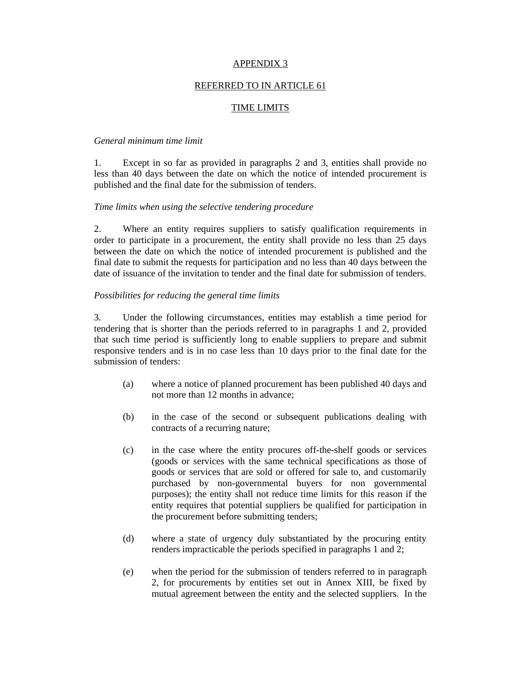## REFERRED TO IN ARTICLE 61

## TIME LIMITS

#### *General minimum time limit*

1. Except in so far as provided in paragraphs 2 and 3, entities shall provide no less than 40 days between the date on which the notice of intended procurement is published and the final date for the submission of tenders.

#### *Time limits when using the selective tendering procedure*

2. Where an entity requires suppliers to satisfy qualification requirements in order to participate in a procurement, the entity shall provide no less than 25 days between the date on which the notice of intended procurement is published and the final date to submit the requests for participation and no less than 40 days between the date of issuance of the invitation to tender and the final date for submission of tenders.

### *Possibilities for reducing the general time limits*

3. Under the following circumstances, entities may establish a time period for tendering that is shorter than the periods referred to in paragraphs 1 and 2, provided that such time period is sufficiently long to enable suppliers to prepare and submit responsive tenders and is in no case less than 10 days prior to the final date for the submission of tenders:

- (a) where a notice of planned procurement has been published 40 days and not more than 12 months in advance;
- (b) in the case of the second or subsequent publications dealing with contracts of a recurring nature;
- (c) in the case where the entity procures off-the-shelf goods or services (goods or services with the same technical specifications as those of goods or services that are sold or offered for sale to, and customarily purchased by non-governmental buyers for non governmental purposes); the entity shall not reduce time limits for this reason if the entity requires that potential suppliers be qualified for participation in the procurement before submitting tenders;
- (d) where a state of urgency duly substantiated by the procuring entity renders impracticable the periods specified in paragraphs 1 and 2;
- (e) when the period for the submission of tenders referred to in paragraph 2, for procurements by entities set out in Annex XIII, be fixed by mutual agreement between the entity and the selected suppliers. In the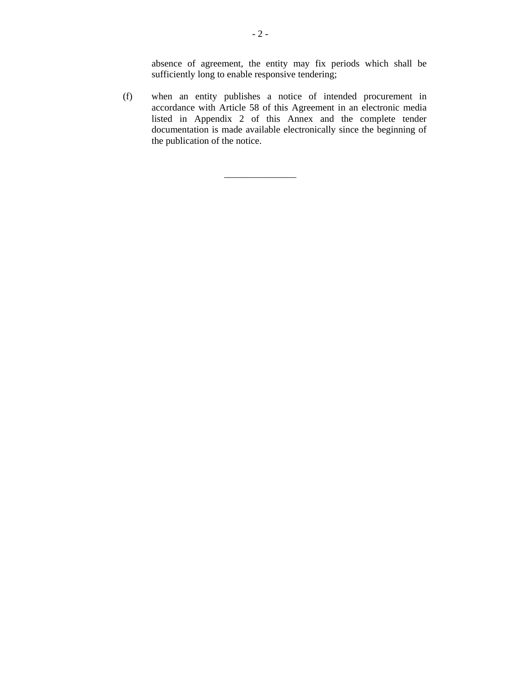absence of agreement, the entity may fix periods which shall be sufficiently long to enable responsive tendering;

(f) when an entity publishes a notice of intended procurement in accordance with Article 58 of this Agreement in an electronic media listed in Appendix 2 of this Annex and the complete tender documentation is made available electronically since the beginning of the publication of the notice.

\_\_\_\_\_\_\_\_\_\_\_\_\_\_\_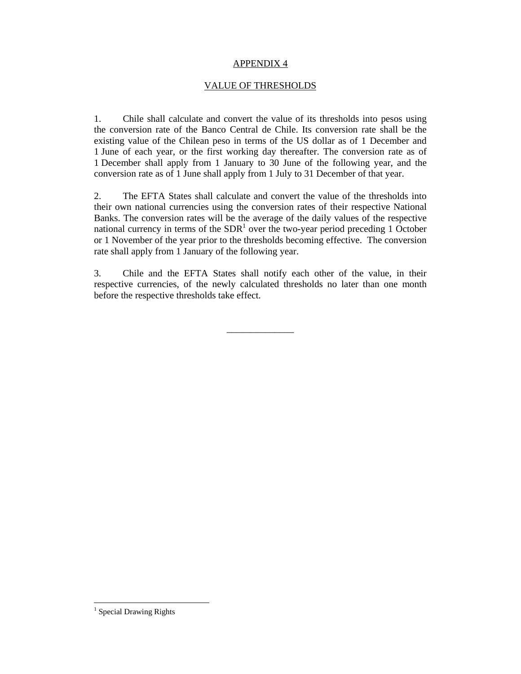#### VALUE OF THRESHOLDS

1. Chile shall calculate and convert the value of its thresholds into pesos using the conversion rate of the Banco Central de Chile. Its conversion rate shall be the existing value of the Chilean peso in terms of the US dollar as of 1 December and 1 June of each year, or the first working day thereafter. The conversion rate as of 1 December shall apply from 1 January to 30 June of the following year, and the conversion rate as of 1 June shall apply from 1 July to 31 December of that year.

2. The EFTA States shall calculate and convert the value of the thresholds into their own national currencies using the conversion rates of their respective National Banks. The conversion rates will be the average of the daily values of the respective national currency in terms of the  $SDR<sup>1</sup>$  over the two-year period preceding 1 October or 1 November of the year prior to the thresholds becoming effective. The conversion rate shall apply from 1 January of the following year.

3. Chile and the EFTA States shall notify each other of the value, in their respective currencies, of the newly calculated thresholds no later than one month before the respective thresholds take effect.

\_\_\_\_\_\_\_\_\_\_\_\_\_\_

 $\overline{a}$ 

<sup>&</sup>lt;sup>1</sup> Special Drawing Rights